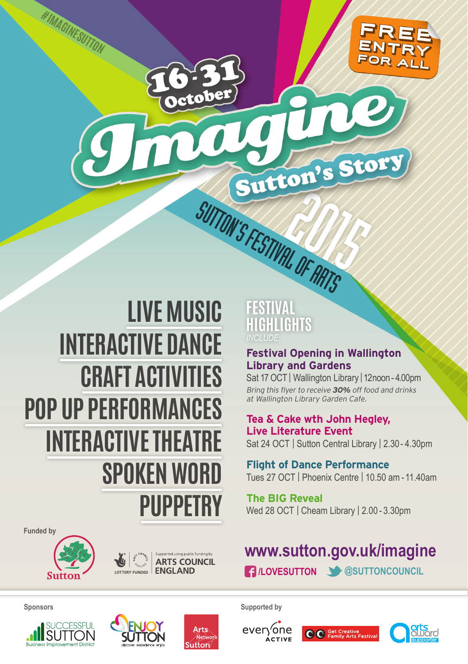

# **LIVE MUSIC INTERACTIVE DANCE CRAFT ACTIVITIES POP UP PERFORMANCES INTERACTIVE THEATRE SPOKEN WORD PUPPETRY**

# SUTTON'S FESTIVAL OF ARTS **FESTIVAL IGHLIGHTS** *INCLUDE:*

#### **Festival Opening in Wallington Library and Gardens**

Sutton's Story

Sat 17 OCT | Wallington Library | 12noon - 4.00pm Bring this flyer to receive **30%** off food and drinks at Wallington Library Garden Cafe.

#### **Tea & Cake wth John Hegley, Live Literature Event** Sat 24 OCT | Sutton Central Library | 2.30 - 4.30pm

**Flight of Dance Performance** Tues 27 OCT | Phoenix Centre | 10.50 am - 11.40am

**The BIG Reveal** Wed 28 OCT | Cheam Library | 2.00 - 3.30pm

## **www.sutton.gov.uk/imagine /LOVESUTTON @SUTTONCOUNCIL**

**Funded by**



**#IMAGINESUTTON**



**Sponsors Supported by**













ctober

m